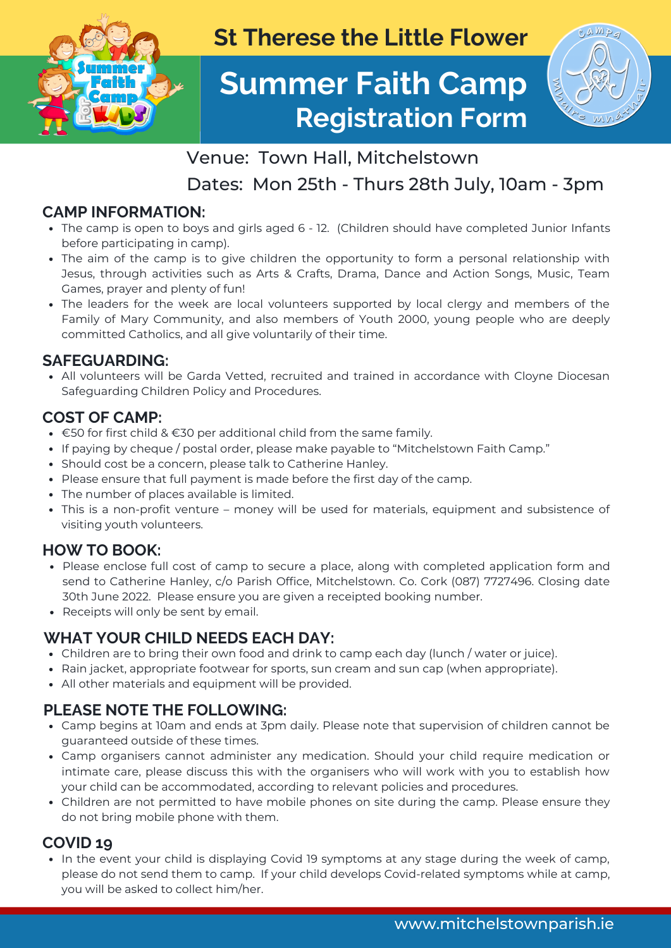

**St Therese the Little Flower**

# **Summer Faith Camp Registration Form**



# Venue: Town Hall, Mitchelstown

Dates: Mon 25th - Thurs 28th July, 10am - 3pm

## **CAMP INFORMATION:**

- The camp is open to boys and girls aged 6 12. (Children should have completed Junior Infants before participating in camp).
- The aim of the camp is to give children the opportunity to form a personal relationship with Jesus, through activities such as Arts & Crafts, Drama, Dance and Action Songs, Music, Team Games, prayer and plenty of fun!
- The leaders for the week are local volunteers supported by local clergy and members of the Family of Mary Community, and also members of Youth 2000, young people who are deeply committed Catholics, and all give voluntarily of their time.

### **SAFEGUARDING:**

All volunteers will be Garda Vetted, recruited and trained in accordance with Cloyne Diocesan Safeguarding Children Policy and Procedures.

#### **COST OF CAMP:**

- $\cdot$  €50 for first child & €30 per additional child from the same family.
- If paying by cheque / postal order, please make payable to "Mitchelstown Faith Camp."
- Should cost be a concern, please talk to Catherine Hanley.
- Please ensure that full payment is made before the first day of the camp.
- The number of places available is limited.
- This is a non-profit venture money will be used for materials, equipment and subsistence of visiting youth volunteers.

### **HOW TO BOOK:**

- Please enclose full cost of camp to secure a place, along with completed application form and send to Catherine Hanley, c/o Parish Office, Mitchelstown. Co. Cork (087) 7727496. Closing date 30th June 2022. Please ensure you are given a receipted booking number.
- Receipts will only be sent by email.

### **WHAT YOUR CHILD NEEDS EACH DAY:**

- Children are to bring their own food and drink to camp each day (lunch / water or juice).
- Rain jacket, appropriate footwear for sports, sun cream and sun cap (when appropriate).
- All other materials and equipment will be provided.

### **PLEASE NOTE THE FOLLOWING:**

- Camp begins at 10am and ends at 3pm daily. Please note that supervision of children cannot be guaranteed outside of these times.
- Camp organisers cannot administer any medication. Should your child require medication or intimate care, please discuss this with the organisers who will work with you to establish how your child can be accommodated, according to relevant policies and procedures.
- Children are not permitted to have mobile phones on site during the camp. Please ensure they do not bring mobile phone with them.

### **COVID 19**

• In the event your child is displaying Covid 19 symptoms at any stage during the week of camp, please do not send them to camp. If your child develops Covid-related symptoms while at camp, you will be asked to collect him/her.